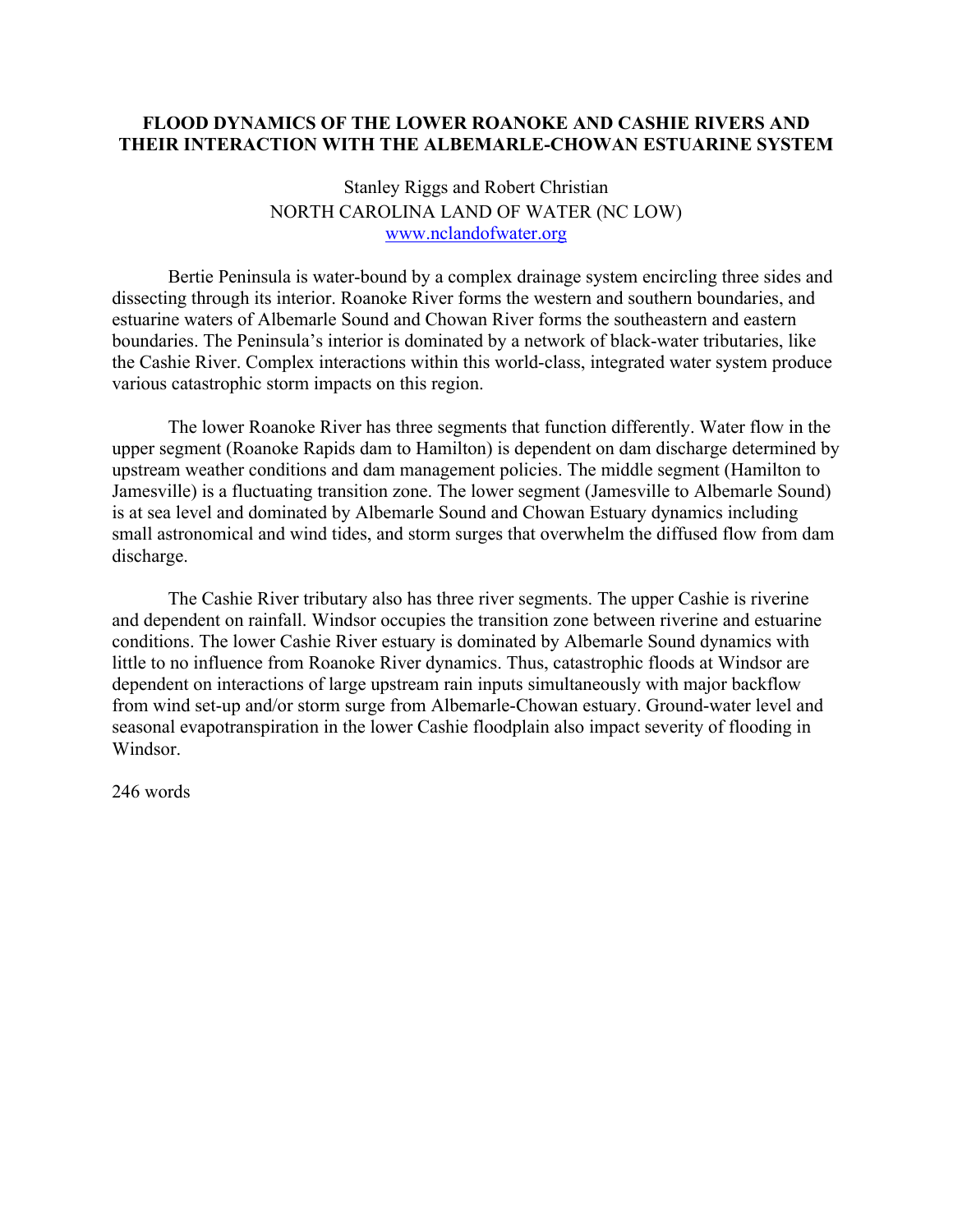## **FLOOD DYNAMICS OF THE LOWER ROANOKE AND CASHIE RIVERS AND THEIR INTERACTION WITH THE ALBEMARLE-CHOWAN ESTUARINE SYSTEM**

## Stanley Riggs and Robert Christian NORTH CAROLINA LAND OF WATER (NC LOW) www.nclandofwater.org

Bertie Peninsula is water-bound by a complex drainage system encircling three sides and dissecting through its interior. Roanoke River forms the western and southern boundaries, and estuarine waters of Albemarle Sound and Chowan River forms the southeastern and eastern boundaries. The Peninsula's interior is dominated by a network of black-water tributaries, like the Cashie River. Complex interactions within this world-class, integrated water system produce various catastrophic storm impacts on this region.

The lower Roanoke River has three segments that function differently. Water flow in the upper segment (Roanoke Rapids dam to Hamilton) is dependent on dam discharge determined by upstream weather conditions and dam management policies. The middle segment (Hamilton to Jamesville) is a fluctuating transition zone. The lower segment (Jamesville to Albemarle Sound) is at sea level and dominated by Albemarle Sound and Chowan Estuary dynamics including small astronomical and wind tides, and storm surges that overwhelm the diffused flow from dam discharge.

The Cashie River tributary also has three river segments. The upper Cashie is riverine and dependent on rainfall. Windsor occupies the transition zone between riverine and estuarine conditions. The lower Cashie River estuary is dominated by Albemarle Sound dynamics with little to no influence from Roanoke River dynamics. Thus, catastrophic floods at Windsor are dependent on interactions of large upstream rain inputs simultaneously with major backflow from wind set-up and/or storm surge from Albemarle-Chowan estuary. Ground-water level and seasonal evapotranspiration in the lower Cashie floodplain also impact severity of flooding in Windsor.

246 words